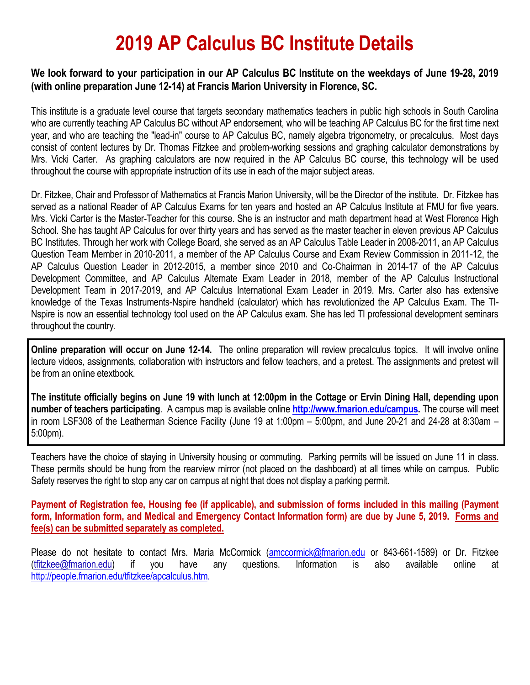## **2019 AP Calculus BC Institute Details**

#### **We look forward to your participation in our AP Calculus BC Institute on the weekdays of June 19-28, 2019 (with online preparation June 12-14) at Francis Marion University in Florence, SC.**

This institute is a graduate level course that targets secondary mathematics teachers in public high schools in South Carolina who are currently teaching AP Calculus BC without AP endorsement, who will be teaching AP Calculus BC for the first time next year, and who are teaching the "lead-in" course to AP Calculus BC, namely algebra trigonometry, or precalculus. Most days consist of content lectures by Dr. Thomas Fitzkee and problem-working sessions and graphing calculator demonstrations by Mrs. Vicki Carter. As graphing calculators are now required in the AP Calculus BC course, this technology will be used throughout the course with appropriate instruction of its use in each of the major subject areas.

Dr. Fitzkee, Chair and Professor of Mathematics at Francis Marion University, will be the Director of the institute. Dr. Fitzkee has served as a national Reader of AP Calculus Exams for ten years and hosted an AP Calculus Institute at FMU for five years. Mrs. Vicki Carter is the Master-Teacher for this course. She is an instructor and math department head at West Florence High School. She has taught AP Calculus for over thirty years and has served as the master teacher in eleven previous AP Calculus BC Institutes. Through her work with College Board, she served as an AP Calculus Table Leader in 2008-2011, an AP Calculus Question Team Member in 2010-2011, a member of the AP Calculus Course and Exam Review Commission in 2011-12, the AP Calculus Question Leader in 2012-2015, a member since 2010 and Co-Chairman in 2014-17 of the AP Calculus Development Committee, and AP Calculus Alternate Exam Leader in 2018, member of the AP Calculus Instructional Development Team in 2017-2019, and AP Calculus International Exam Leader in 2019. Mrs. Carter also has extensive knowledge of the Texas Instruments-Nspire handheld (calculator) which has revolutionized the AP Calculus Exam. The TI-Nspire is now an essential technology tool used on the AP Calculus exam. She has led TI professional development seminars throughout the country.

**Online preparation will occur on June 12-14.** The online preparation will review precalculus topics. It will involve online lecture videos, assignments, collaboration with instructors and fellow teachers, and a pretest. The assignments and pretest will be from an online etextbook.

**The institute officially begins on June 19 with lunch at 12:00pm in the Cottage or Ervin Dining Hall, depending upon number of teachers participating**. A campus map is available online **[http://www.fmarion.edu/campus.](http://www.fmarion.edu/campus)** The course will meet in room LSF308 of the Leatherman Science Facility (June 19 at 1:00pm – 5:00pm, and June 20-21 and 24-28 at 8:30am – 5:00pm).

Teachers have the choice of staying in University housing or commuting. Parking permits will be issued on June 11 in class. These permits should be hung from the rearview mirror (not placed on the dashboard) at all times while on campus. Public Safety reserves the right to stop any car on campus at night that does not display a parking permit.

**Payment of Registration fee, Housing fee (if applicable), and submission of forms included in this mailing (Payment form, Information form, and Medical and Emergency Contact Information form) are due by June 5, 2019. Forms and fee(s) can be submitted separately as completed.**

Please do not hesitate to contact Mrs. Maria McCormick [\(amccormick@fmarion.edu](mailto:amccormick@fmarion.edu) or 843-661-1589) or Dr. Fitzkee [\(tfitzkee@fmarion.edu\)](mailto:tfitzkee@fmarion.edu) if you have any questions. Information is also available online at [http://people.fmarion.edu/tfitzkee/apcalculus.htm.](http://people.fmarion.edu/tfitzkee/apcalculus.htm)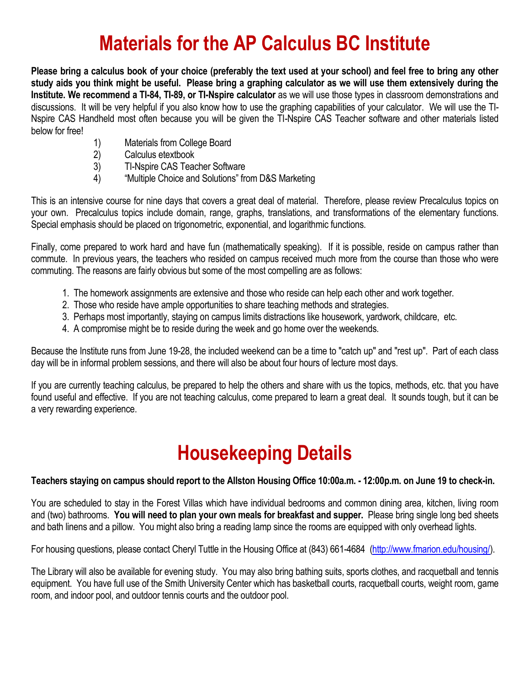# **Materials for the AP Calculus BC Institute**

**Please bring a calculus book of your choice (preferably the text used at your school) and feel free to bring any other study aids you think might be useful. Please bring a graphing calculator as we will use them extensively during the Institute. We recommend a TI-84, TI-89, or TI-Nspire calculator** as we will use those types in classroom demonstrations and discussions. It will be very helpful if you also know how to use the graphing capabilities of your calculator. We will use the TI-Nspire CAS Handheld most often because you will be given the TI-Nspire CAS Teacher software and other materials listed below for free!

- 1) Materials from College Board
- 2) Calculus etextbook
- 3) TI-Nspire CAS Teacher Software
- 4) "Multiple Choice and Solutions" from D&S Marketing

This is an intensive course for nine days that covers a great deal of material. Therefore, please review Precalculus topics on your own. Precalculus topics include domain, range, graphs, translations, and transformations of the elementary functions. Special emphasis should be placed on trigonometric, exponential, and logarithmic functions.

Finally, come prepared to work hard and have fun (mathematically speaking). If it is possible, reside on campus rather than commute. In previous years, the teachers who resided on campus received much more from the course than those who were commuting. The reasons are fairly obvious but some of the most compelling are as follows:

- 1. The homework assignments are extensive and those who reside can help each other and work together.
- 2. Those who reside have ample opportunities to share teaching methods and strategies.
- 3. Perhaps most importantly, staying on campus limits distractions like housework, yardwork, childcare, etc.
- 4. A compromise might be to reside during the week and go home over the weekends.

Because the Institute runs from June 19-28, the included weekend can be a time to "catch up" and "rest up". Part of each class day will be in informal problem sessions, and there will also be about four hours of lecture most days.

If you are currently teaching calculus, be prepared to help the others and share with us the topics, methods, etc. that you have found useful and effective. If you are not teaching calculus, come prepared to learn a great deal. It sounds tough, but it can be a very rewarding experience.

# **Housekeeping Details**

#### **Teachers staying on campus should report to the Allston Housing Office 10:00a.m. - 12:00p.m. on June 19 to check-in.**

You are scheduled to stay in the Forest Villas which have individual bedrooms and common dining area, kitchen, living room and (two) bathrooms. **You will need to plan your own meals for breakfast and supper.** Please bring single long bed sheets and bath linens and a pillow. You might also bring a reading lamp since the rooms are equipped with only overhead lights.

For housing questions, please contact Cheryl Tuttle in the Housing Office at (843) 661-4684 [\(http://www.fmarion.edu/housing/\)](http://www.fmarion.edu/housing/).

The Library will also be available for evening study. You may also bring bathing suits, sports clothes, and racquetball and tennis equipment. You have full use of the Smith University Center which has basketball courts, racquetball courts, weight room, game room, and indoor pool, and outdoor tennis courts and the outdoor pool.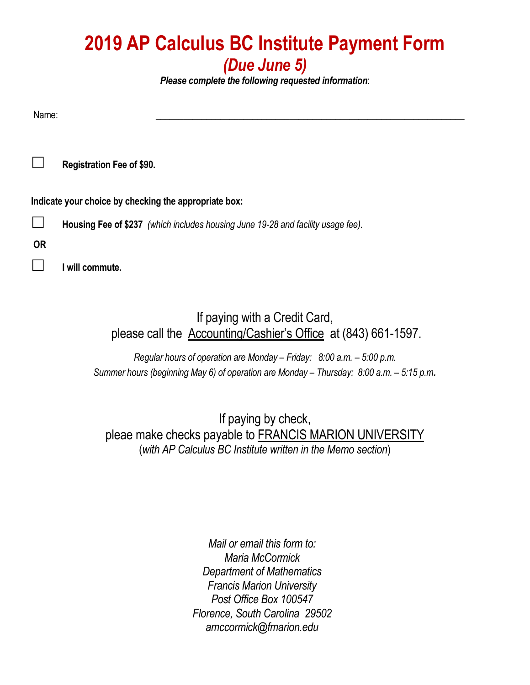### **2019 AP Calculus BC Institute Payment Form** *(Due June 5)*

*Please complete the following requested information*:

Name: \_\_\_\_\_\_\_\_\_\_\_\_\_\_\_\_\_\_\_\_\_\_\_\_\_\_\_\_\_\_\_\_\_\_\_\_\_\_\_\_\_\_\_\_\_\_\_\_\_\_\_\_\_\_\_\_\_\_\_\_\_\_\_\_\_\_\_

**Registration Fee of \$90.** 

**Indicate your choice by checking the appropriate box:**

**Housing Fee of \$237** *(which includes housing June 19-28 and facility usage fee).*

**OR**

**I will commute.**

If paying with a Credit Card, please call the Accounting/Cashier's Office at (843) 661-1597.

*Regular hours of operation are Monday – Friday: 8:00 a.m. – 5:00 p.m. Summer hours (beginning May 6) of operation are Monday – Thursday: 8:00 a.m. – 5:15 p.m.*

If paying by check, pleae make checks payable to FRANCIS MARION UNIVERSITY (*with AP Calculus BC Institute written in the Memo section*)

> *Mail or email this form to: Maria McCormick Department of Mathematics Francis Marion University Post Office Box 100547 Florence, South Carolina 29502 amccormick@fmarion.edu*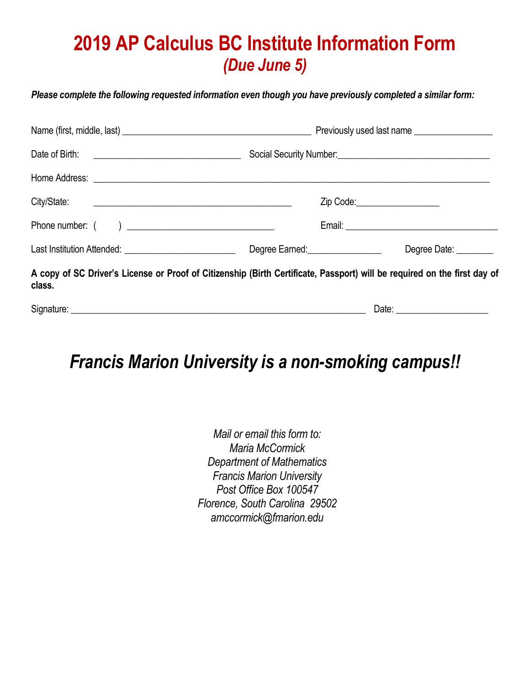## **2019 AP Calculus BC Institute Information Form** *(Due June 5)*

*Please complete the following requested information even though you have previously completed a similar form:*

|        |                                                                                                                          | Previously used last name    |  |  |  |
|--------|--------------------------------------------------------------------------------------------------------------------------|------------------------------|--|--|--|
|        |                                                                                                                          |                              |  |  |  |
|        |                                                                                                                          |                              |  |  |  |
|        |                                                                                                                          | Zip Code:___________________ |  |  |  |
|        |                                                                                                                          |                              |  |  |  |
|        | Degree Earned: __________________                                                                                        | Degree Date: ________        |  |  |  |
| class. | A copy of SC Driver's License or Proof of Citizenship (Birth Certificate, Passport) will be required on the first day of |                              |  |  |  |
|        |                                                                                                                          |                              |  |  |  |

### *Francis Marion University is a non-smoking campus!!*

*Mail or email this form to: Maria McCormick Department of Mathematics Francis Marion University Post Office Box 100547 Florence, South Carolina 29502 amccormick@fmarion.edu*